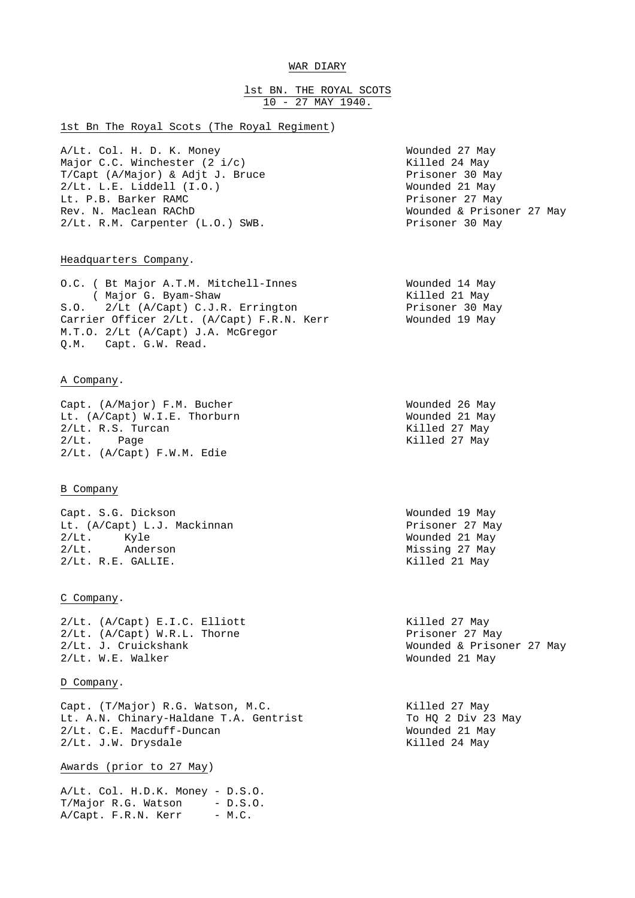# WAR DIARY

# lst BN. THE ROYAL SCOTS 10 - 27 MAY 1940.

## 1st Bn The Royal Scots (The Royal Regiment)

A/Lt. Col. H. D. K. Money Wounded 27 May Major C.C. Winchester (2 i/c)<br>T/Capt (A/Major) & Adjt J. Bruce Rissoner 30 May T/Capt (A/Major) & Adjt J. Bruce<br>2/Lt. L.E. Liddell (I.O.) Wounded 21 May 2/Lt. L.E. Liddell (I.O.) Wounded 21 May Lt. P.B. Barker RAMC<br>Rev. N. Maclean RAChD 2/Lt. R.M. Carpenter (L.O.) SWB. Prisoner 30 May

Wounded & Prisoner 27 May

#### Headquarters Company.

O.C. ( Bt Major A.T.M. Mitchell-Innes Wounded 14 May ( Major G. Byam-Shaw Killed 21 May S.O. 2/Lt (A/Capt) C.J.R. Errington Prisoner 30 May Carrier Officer 2/Lt. (A/Capt) F.R.N. Kerr Frisoner 30 May<br>M T O 2/1+ (A/Capt) T A U T C M.T.O. 2/Lt (A/Capt) J.A. McGregor Q.M. Capt. G.W. Read.

## A Company.

Capt. (A/Major) F.M. Bucher Wounded 26 May Lt. (A/Capt) W.I.E. Thorburn Wounded 21 May<br>2/Lt. R.S. Turcan Wounded 27 May  $2/Lt$ . R.S. Turcan 2/Lt. Page 2012 and 27 May 2014. 2/Lt. (A/Capt) F.W.M. Edie

## B Company

Capt. S.G. Dickson Wounded 19 May Lt. (A/Capt) L.J. Mackinnan entertainment of the Prisoner 27 May 2/Lt. Kyle Wounded 21 May 2/Lt. Anderson Missing 27 May 2/Lt. R.E. GALLIE. Killed 21 May

### C Company.

2/Lt. (A/Capt) E.I.C. Elliott Killed 27 May 2/Lt. (A/Capt) W.R.L. Thorne<br>2/Lt. J. Cruickshank by a communication of the Prisoner 27 May 2/Lt. W.E. Walker Wounded 21 May

## D Company.

Capt. (T/Major) R.G. Watson, M.C. (2008) 79 Killed 27 May<br>
Lt. A.N. Chinary-Haldane T.A. Gentrist (2008) 70 HO 2 Div 23 May Lt. A.N. Chinary-Haldane T.A. Gentrist To HQ 2 Div 23<br>2/Lt. C.E. Macduff-Duncan Mounded 21 May 2/Lt. C.E. Macduff-Duncan Wounded 21 May 2/Lt. J.W. Drysdale

Awards (prior to 27 May)

A/Lt. Col. H.D.K. Money - D.S.O.  $T/Major R.G. Watson - D.S.O.$  $A/Capt.$  F.R.N. Kerr - M.C.

Wounded & Prisoner 27 May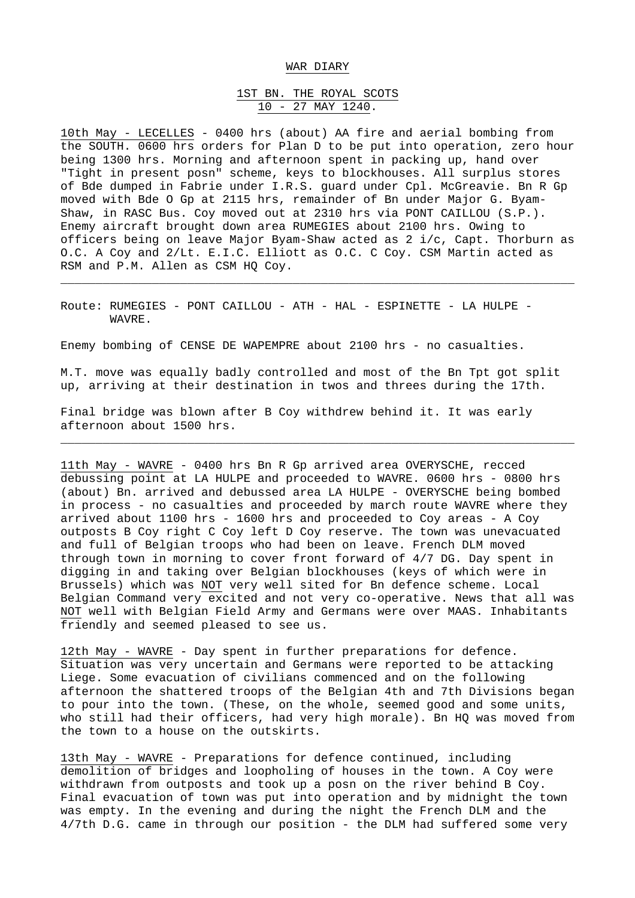#### WAR DIARY

# 1ST BN. THE ROYAL SCOTS 10 - 27 MAY 1240.

10th May - LECELLES - 0400 hrs (about) AA fire and aerial bombing from the SOUTH. 0600 hrs orders for Plan D to be put into operation, zero hour being 1300 hrs. Morning and afternoon spent in packing up, hand over "Tight in present posn" scheme, keys to blockhouses. All surplus stores of Bde dumped in Fabrie under I.R.S. guard under Cpl. McGreavie. Bn R Gp moved with Bde O Gp at 2115 hrs, remainder of Bn under Major G. Byam-Shaw, in RASC Bus. Coy moved out at 2310 hrs via PONT CAILLOU (S.P.). Enemy aircraft brought down area RUMEGIES about 2100 hrs. Owing to officers being on leave Major Byam-Shaw acted as 2 i/c, Capt. Thorburn as O.C. A Coy and 2/Lt. E.I.C. Elliott as O.C. C Coy. CSM Martin acted as RSM and P.M. Allen as CSM HO Coy.

\_\_\_\_\_\_\_\_\_\_\_\_\_\_\_\_\_\_\_\_\_\_\_\_\_\_\_\_\_\_\_\_\_\_\_\_\_\_\_\_\_\_\_\_\_\_\_\_\_\_\_\_\_\_\_\_\_\_\_\_\_\_\_\_\_\_\_\_\_\_\_\_\_

Route: RUMEGIES - PONT CAILLOU - ATH - HAL - ESPINETTE - LA HULPE - WAVRE.

Enemy bombing of CENSE DE WAPEMPRE about 2100 hrs - no casualties.

M.T. move was equally badly controlled and most of the Bn Tpt got split up, arriving at their destination in twos and threes during the 17th.

\_\_\_\_\_\_\_\_\_\_\_\_\_\_\_\_\_\_\_\_\_\_\_\_\_\_\_\_\_\_\_\_\_\_\_\_\_\_\_\_\_\_\_\_\_\_\_\_\_\_\_\_\_\_\_\_\_\_\_\_\_\_\_\_\_\_\_\_\_\_\_\_\_

Final bridge was blown after B Coy withdrew behind it. It was early afternoon about 1500 hrs.

11th May - WAVRE - 0400 hrs Bn R Gp arrived area OVERYSCHE, recced debussing point at LA HULPE and proceeded to WAVRE. 0600 hrs - 0800 hrs (about) Bn. arrived and debussed area LA HULPE - OVERYSCHE being bombed in process - no casualties and proceeded by march route WAVRE where they arrived about 1100 hrs - 1600 hrs and proceeded to Coy areas - A Coy outposts B Coy right C Coy left D Coy reserve. The town was unevacuated and full of Belgian troops who had been on leave. French DLM moved through town in morning to cover front forward of 4/7 DG. Day spent in digging in and taking over Belgian blockhouses (keys of which were in Brussels) which was NOT very well sited for Bn defence scheme. Local Belgian Command very excited and not very co-operative. News that all was NOT well with Belgian Field Army and Germans were over MAAS. Inhabitants friendly and seemed pleased to see us.

12th May - WAVRE - Day spent in further preparations for defence. Situation was very uncertain and Germans were reported to be attacking Liege. Some evacuation of civilians commenced and on the following afternoon the shattered troops of the Belgian 4th and 7th Divisions began to pour into the town. (These, on the whole, seemed good and some units, who still had their officers, had very high morale). Bn HQ was moved from the town to a house on the outskirts.

13th May - WAVRE - Preparations for defence continued, including demolition of bridges and loopholing of houses in the town. A Coy were withdrawn from outposts and took up a posn on the river behind B Coy. Final evacuation of town was put into operation and by midnight the town was empty. In the evening and during the night the French DLM and the 4/7th D.G. came in through our position - the DLM had suffered some very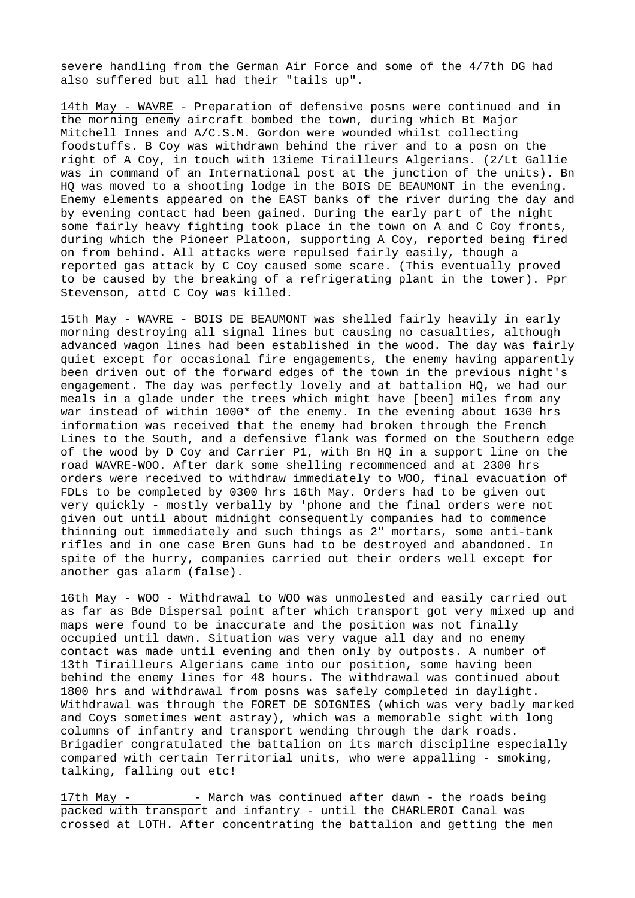severe handling from the German Air Force and some of the 4/7th DG had also suffered but all had their "tails up".

14th May - WAVRE - Preparation of defensive posns were continued and in the morning enemy aircraft bombed the town, during which Bt Major Mitchell Innes and A/C.S.M. Gordon were wounded whilst collecting foodstuffs. B Coy was withdrawn behind the river and to a posn on the right of A Coy, in touch with 13ieme Tirailleurs Algerians. (2/Lt Gallie was in command of an International post at the junction of the units). Bn HQ was moved to a shooting lodge in the BOIS DE BEAUMONT in the evening. Enemy elements appeared on the EAST banks of the river during the day and by evening contact had been gained. During the early part of the night some fairly heavy fighting took place in the town on A and C Coy fronts, during which the Pioneer Platoon, supporting A Coy, reported being fired on from behind. All attacks were repulsed fairly easily, though a reported gas attack by C Coy caused some scare. (This eventually proved to be caused by the breaking of a refrigerating plant in the tower). Ppr Stevenson, attd C Coy was killed.

15th May - WAVRE - BOIS DE BEAUMONT was shelled fairly heavily in early morning destroying all signal lines but causing no casualties, although advanced wagon lines had been established in the wood. The day was fairly quiet except for occasional fire engagements, the enemy having apparently been driven out of the forward edges of the town in the previous night's engagement. The day was perfectly lovely and at battalion HQ, we had our meals in a glade under the trees which might have [been] miles from any war instead of within 1000\* of the enemy. In the evening about 1630 hrs information was received that the enemy had broken through the French Lines to the South, and a defensive flank was formed on the Southern edge of the wood by D Coy and Carrier P1, with Bn HQ in a support line on the road WAVRE-WOO. After dark some shelling recommenced and at 2300 hrs orders were received to withdraw immediately to WOO, final evacuation of FDLs to be completed by 0300 hrs 16th May. Orders had to be given out very quickly - mostly verbally by 'phone and the final orders were not given out until about midnight consequently companies had to commence thinning out immediately and such things as 2" mortars, some anti-tank rifles and in one case Bren Guns had to be destroyed and abandoned. In spite of the hurry, companies carried out their orders well except for another gas alarm (false).

16th May - WOO - Withdrawal to WOO was unmolested and easily carried out as far as Bde Dispersal point after which transport got very mixed up and maps were found to be inaccurate and the position was not finally occupied until dawn. Situation was very vague all day and no enemy contact was made until evening and then only by outposts. A number of 13th Tirailleurs Algerians came into our position, some having been behind the enemy lines for 48 hours. The withdrawal was continued about 1800 hrs and withdrawal from posns was safely completed in daylight. Withdrawal was through the FORET DE SOIGNIES (which was very badly marked and Coys sometimes went astray), which was a memorable sight with long columns of infantry and transport wending through the dark roads. Brigadier congratulated the battalion on its march discipline especially compared with certain Territorial units, who were appalling - smoking, talking, falling out etc!

17th May - - March was continued after dawn - the roads being packed with transport and infantry - until the CHARLEROI Canal was crossed at LOTH. After concentrating the battalion and getting the men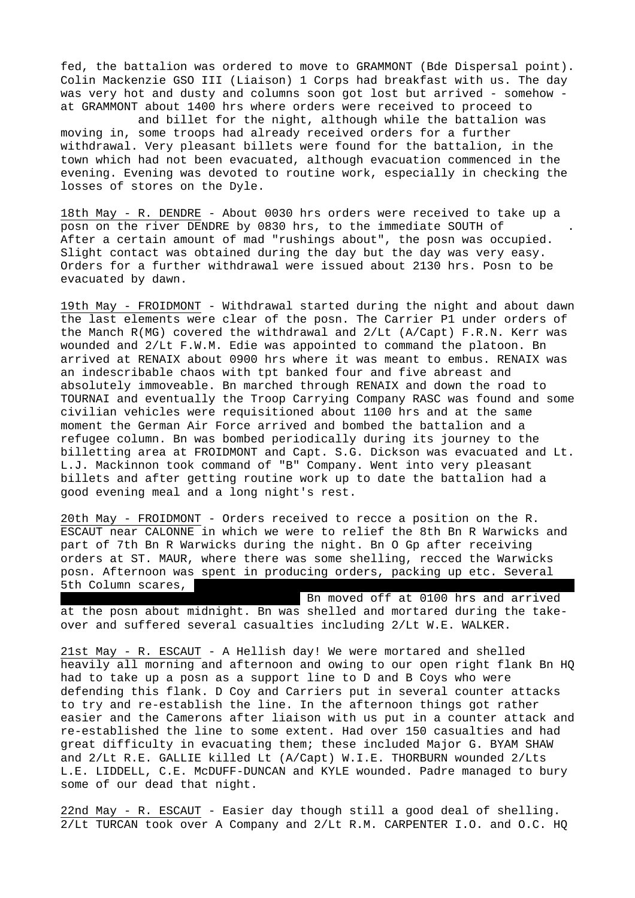fed, the battalion was ordered to move to GRAMMONT (Bde Dispersal point). Colin Mackenzie GSO III (Liaison) 1 Corps had breakfast with us. The day was very hot and dusty and columns soon got lost but arrived - somehow at GRAMMONT about 1400 hrs where orders were received to proceed to

 and billet for the night, although while the battalion was moving in, some troops had already received orders for a further withdrawal. Very pleasant billets were found for the battalion, in the town which had not been evacuated, although evacuation commenced in the evening. Evening was devoted to routine work, especially in checking the losses of stores on the Dyle.

18th May - R. DENDRE - About 0030 hrs orders were received to take up a posn on the river DENDRE by 0830 hrs, to the immediate SOUTH of . After a certain amount of mad "rushings about", the posn was occupied. Slight contact was obtained during the day but the day was very easy. Orders for a further withdrawal were issued about 2130 hrs. Posn to be evacuated by dawn.

19th May - FROIDMONT - Withdrawal started during the night and about dawn the last elements were clear of the posn. The Carrier P1 under orders of the Manch R(MG) covered the withdrawal and 2/Lt (A/Capt) F.R.N. Kerr was wounded and 2/Lt F.W.M. Edie was appointed to command the platoon. Bn arrived at RENAIX about 0900 hrs where it was meant to embus. RENAIX was an indescribable chaos with tpt banked four and five abreast and absolutely immoveable. Bn marched through RENAIX and down the road to TOURNAI and eventually the Troop Carrying Company RASC was found and some civilian vehicles were requisitioned about 1100 hrs and at the same moment the German Air Force arrived and bombed the battalion and a refugee column. Bn was bombed periodically during its journey to the billetting area at FROIDMONT and Capt. S.G. Dickson was evacuated and Lt. L.J. Mackinnon took command of "B" Company. Went into very pleasant billets and after getting routine work up to date the battalion had a good evening meal and a long night's rest.

20th May - FROIDMONT - Orders received to recce a position on the R. ESCAUT near CALONNE in which we were to relief the 8th Bn R Warwicks and part of 7th Bn R Warwicks during the night. Bn O Gp after receiving orders at ST. MAUR, where there was some shelling, recced the Warwicks posn. Afternoon was spent in producing orders, packing up etc. Several 5th Column scares,

Bn moved off at 0100 hrs and arrived at the posn about midnight. Bn was shelled and mortared during the takeover and suffered several casualties including 2/Lt W.E. WALKER.

21st May - R. ESCAUT - A Hellish day! We were mortared and shelled heavily all morning and afternoon and owing to our open right flank Bn HQ had to take up a posn as a support line to D and B Coys who were defending this flank. D Coy and Carriers put in several counter attacks to try and re-establish the line. In the afternoon things got rather easier and the Camerons after liaison with us put in a counter attack and re-established the line to some extent. Had over 150 casualties and had great difficulty in evacuating them; these included Major G. BYAM SHAW and 2/Lt R.E. GALLIE killed Lt (A/Capt) W.I.E. THORBURN wounded 2/Lts L.E. LIDDELL, C.E. McDUFF-DUNCAN and KYLE wounded. Padre managed to bury some of our dead that night.

22nd May - R. ESCAUT - Easier day though still a good deal of shelling. 2/Lt TURCAN took over A Company and 2/Lt R.M. CARPENTER I.O. and O.C. HQ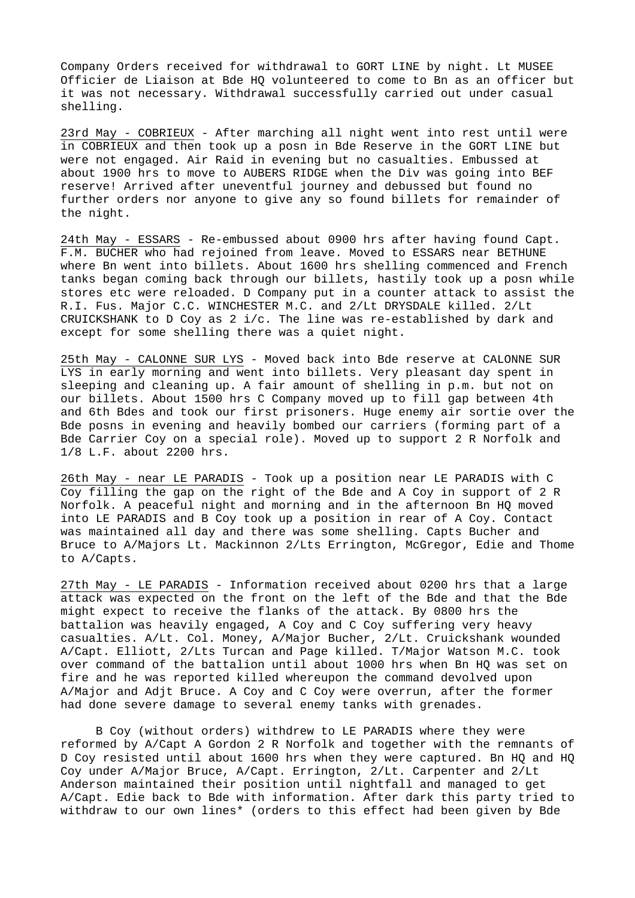Company Orders received for withdrawal to GORT LINE by night. Lt MUSEE Officier de Liaison at Bde HQ volunteered to come to Bn as an officer but it was not necessary. Withdrawal successfully carried out under casual shelling.

23rd May - COBRIEUX - After marching all night went into rest until were in COBRIEUX and then took up a posn in Bde Reserve in the GORT LINE but were not engaged. Air Raid in evening but no casualties. Embussed at about 1900 hrs to move to AUBERS RIDGE when the Div was going into BEF reserve! Arrived after uneventful journey and debussed but found no further orders nor anyone to give any so found billets for remainder of the night.

24th May - ESSARS - Re-embussed about 0900 hrs after having found Capt. F.M. BUCHER who had rejoined from leave. Moved to ESSARS near BETHUNE where Bn went into billets. About 1600 hrs shelling commenced and French tanks began coming back through our billets, hastily took up a posn while stores etc were reloaded. D Company put in a counter attack to assist the R.I. Fus. Major C.C. WINCHESTER M.C. and 2/Lt DRYSDALE killed. 2/Lt CRUICKSHANK to D Coy as  $2$  i/c. The line was re-established by dark and except for some shelling there was a quiet night.

25th May - CALONNE SUR LYS - Moved back into Bde reserve at CALONNE SUR LYS in early morning and went into billets. Very pleasant day spent in sleeping and cleaning up. A fair amount of shelling in p.m. but not on our billets. About 1500 hrs C Company moved up to fill gap between 4th and 6th Bdes and took our first prisoners. Huge enemy air sortie over the Bde posns in evening and heavily bombed our carriers (forming part of a Bde Carrier Coy on a special role). Moved up to support 2 R Norfolk and 1/8 L.F. about 2200 hrs.

26th May - near LE PARADIS - Took up a position near LE PARADIS with C Coy filling the gap on the right of the Bde and A Coy in support of 2 R Norfolk. A peaceful night and morning and in the afternoon Bn HQ moved into LE PARADIS and B Coy took up a position in rear of A Coy. Contact was maintained all day and there was some shelling. Capts Bucher and Bruce to A/Majors Lt. Mackinnon 2/Lts Errington, McGregor, Edie and Thome to A/Capts.

27th May - LE PARADIS - Information received about 0200 hrs that a large attack was expected on the front on the left of the Bde and that the Bde might expect to receive the flanks of the attack. By 0800 hrs the battalion was heavily engaged, A Coy and C Coy suffering very heavy casualties. A/Lt. Col. Money, A/Major Bucher, 2/Lt. Cruickshank wounded A/Capt. Elliott, 2/Lts Turcan and Page killed. T/Major Watson M.C. took over command of the battalion until about 1000 hrs when Bn HQ was set on fire and he was reported killed whereupon the command devolved upon A/Major and Adjt Bruce. A Coy and C Coy were overrun, after the former had done severe damage to several enemy tanks with grenades.

 B Coy (without orders) withdrew to LE PARADIS where they were reformed by A/Capt A Gordon 2 R Norfolk and together with the remnants of D Coy resisted until about 1600 hrs when they were captured. Bn HQ and HQ Coy under A/Major Bruce, A/Capt. Errington, 2/Lt. Carpenter and 2/Lt Anderson maintained their position until nightfall and managed to get A/Capt. Edie back to Bde with information. After dark this party tried to withdraw to our own lines\* (orders to this effect had been given by Bde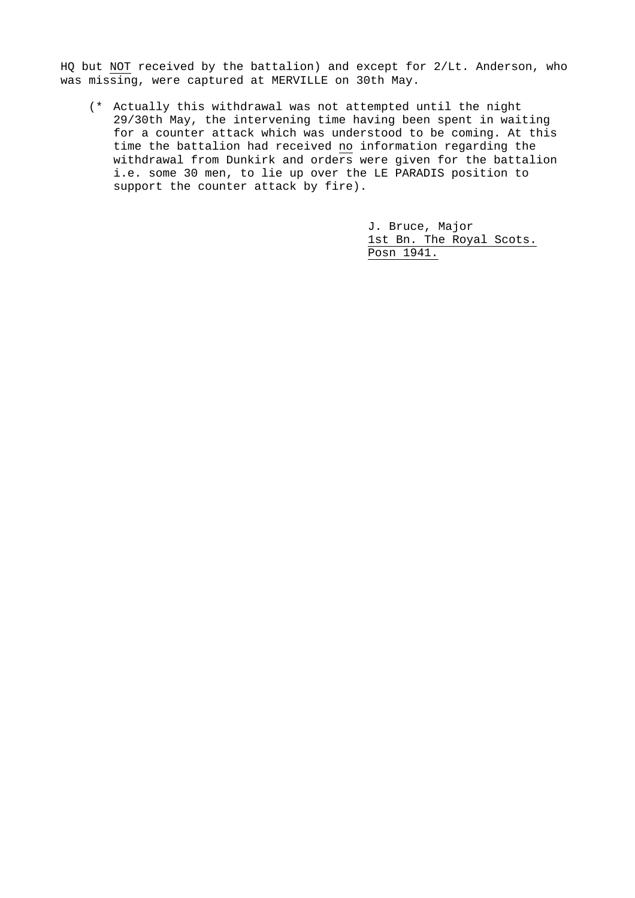HQ but NOT received by the battalion) and except for 2/Lt. Anderson, who was missing, were captured at MERVILLE on 30th May.

 (\* Actually this withdrawal was not attempted until the night 29/30th May, the intervening time having been spent in waiting for a counter attack which was understood to be coming. At this time the battalion had received no information regarding the withdrawal from Dunkirk and orders were given for the battalion i.e. some 30 men, to lie up over the LE PARADIS position to support the counter attack by fire).

> J. Bruce, Major 1st Bn. The Royal Scots. Posn 1941.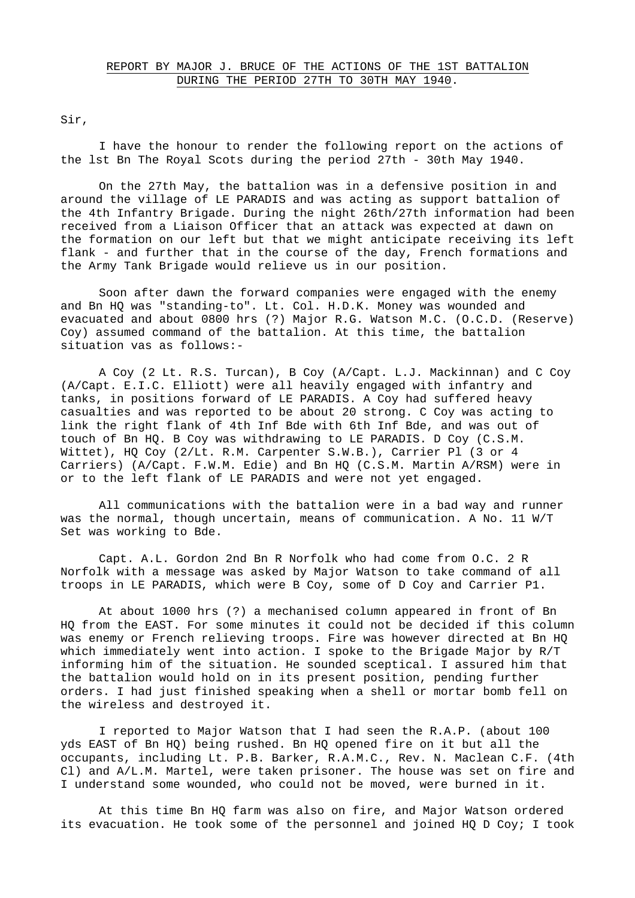Sir,

I have the honour to render the following report on the actions of the lst Bn The Royal Scots during the period 27th - 30th May 1940.

On the 27th May, the battalion was in a defensive position in and around the village of LE PARADIS and was acting as support battalion of the 4th Infantry Brigade. During the night 26th/27th information had been received from a Liaison Officer that an attack was expected at dawn on the formation on our left but that we might anticipate receiving its left flank - and further that in the course of the day, French formations and the Army Tank Brigade would relieve us in our position.

Soon after dawn the forward companies were engaged with the enemy and Bn HQ was "standing-to". Lt. Col. H.D.K. Money was wounded and evacuated and about 0800 hrs (?) Major R.G. Watson M.C. (O.C.D. (Reserve) Coy) assumed command of the battalion. At this time, the battalion situation vas as follows:-

A Coy (2 Lt. R.S. Turcan), B Coy (A/Capt. L.J. Mackinnan) and C Coy (A/Capt. E.I.C. Elliott) were all heavily engaged with infantry and tanks, in positions forward of LE PARADIS. A Coy had suffered heavy casualties and was reported to be about 20 strong. C Coy was acting to link the right flank of 4th Inf Bde with 6th Inf Bde, and was out of touch of Bn HQ. B Coy was withdrawing to LE PARADIS. D Coy (C.S.M. Wittet), HQ Coy (2/Lt. R.M. Carpenter S.W.B.), Carrier Pl (3 or 4 Carriers) (A/Capt. F.W.M. Edie) and Bn HQ (C.S.M. Martin A/RSM) were in or to the left flank of LE PARADIS and were not yet engaged.

All communications with the battalion were in a bad way and runner was the normal, though uncertain, means of communication. A No. 11 W/T Set was working to Bde.

Capt. A.L. Gordon 2nd Bn R Norfolk who had come from O.C. 2 R Norfolk with a message was asked by Major Watson to take command of all troops in LE PARADIS, which were B Coy, some of D Coy and Carrier P1.

At about 1000 hrs (?) a mechanised column appeared in front of Bn HQ from the EAST. For some minutes it could not be decided if this column was enemy or French relieving troops. Fire was however directed at Bn HQ which immediately went into action. I spoke to the Brigade Major by R/T informing him of the situation. He sounded sceptical. I assured him that the battalion would hold on in its present position, pending further orders. I had just finished speaking when a shell or mortar bomb fell on the wireless and destroyed it.

I reported to Major Watson that I had seen the R.A.P. (about 100 yds EAST of Bn HQ) being rushed. Bn HQ opened fire on it but all the occupants, including Lt. P.B. Barker, R.A.M.C., Rev. N. Maclean C.F. (4th Cl) and A/L.M. Martel, were taken prisoner. The house was set on fire and I understand some wounded, who could not be moved, were burned in it.

At this time Bn HQ farm was also on fire, and Major Watson ordered its evacuation. He took some of the personnel and joined HQ D Coy; I took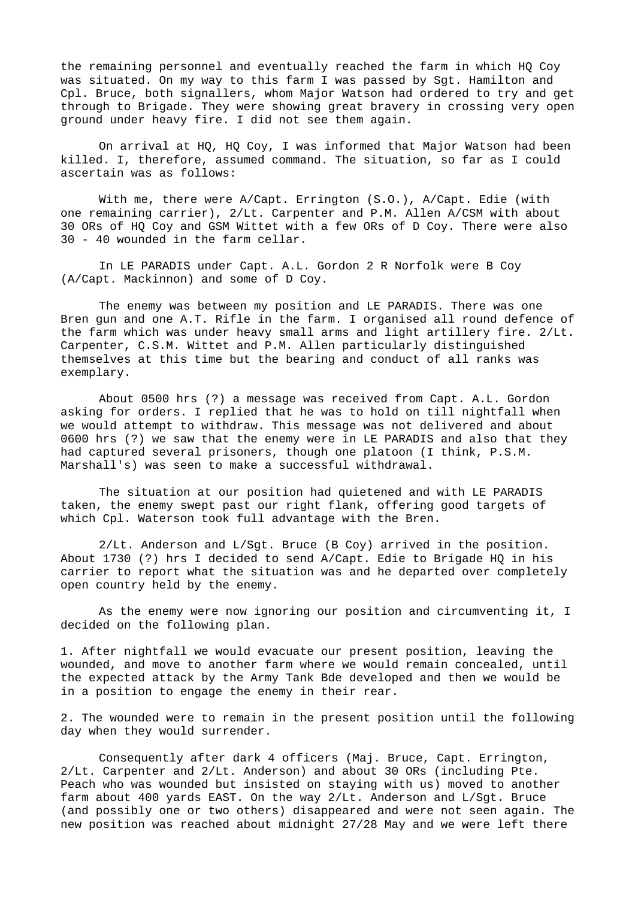the remaining personnel and eventually reached the farm in which HQ Coy was situated. On my way to this farm I was passed by Sgt. Hamilton and Cpl. Bruce, both signallers, whom Major Watson had ordered to try and get through to Brigade. They were showing great bravery in crossing very open ground under heavy fire. I did not see them again.

On arrival at HQ, HQ Coy, I was informed that Major Watson had been killed. I, therefore, assumed command. The situation, so far as I could ascertain was as follows:

With me, there were A/Capt. Errington (S.O.), A/Capt. Edie (with one remaining carrier), 2/Lt. Carpenter and P.M. Allen A/CSM with about 30 ORs of HQ Coy and GSM Wittet with a few ORs of D Coy. There were also 30 - 40 wounded in the farm cellar.

In LE PARADIS under Capt. A.L. Gordon 2 R Norfolk were B Coy (A/Capt. Mackinnon) and some of D Coy.

The enemy was between my position and LE PARADIS. There was one Bren gun and one A.T. Rifle in the farm. I organised all round defence of the farm which was under heavy small arms and light artillery fire. 2/Lt. Carpenter, C.S.M. Wittet and P.M. Allen particularly distinguished themselves at this time but the bearing and conduct of all ranks was exemplary.

About 0500 hrs (?) a message was received from Capt. A.L. Gordon asking for orders. I replied that he was to hold on till nightfall when we would attempt to withdraw. This message was not delivered and about 0600 hrs (?) we saw that the enemy were in LE PARADIS and also that they had captured several prisoners, though one platoon (I think, P.S.M. Marshall's) was seen to make a successful withdrawal.

The situation at our position had quietened and with LE PARADIS taken, the enemy swept past our right flank, offering good targets of which Cpl. Waterson took full advantage with the Bren.

2/Lt. Anderson and L/Sgt. Bruce (B Coy) arrived in the position. About 1730 (?) hrs I decided to send A/Capt. Edie to Brigade HQ in his carrier to report what the situation was and he departed over completely open country held by the enemy.

As the enemy were now ignoring our position and circumventing it, I decided on the following plan.

1. After nightfall we would evacuate our present position, leaving the wounded, and move to another farm where we would remain concealed, until the expected attack by the Army Tank Bde developed and then we would be in a position to engage the enemy in their rear.

2. The wounded were to remain in the present position until the following day when they would surrender.

Consequently after dark 4 officers (Maj. Bruce, Capt. Errington, 2/Lt. Carpenter and 2/Lt. Anderson) and about 30 ORs (including Pte. Peach who was wounded but insisted on staying with us) moved to another farm about 400 yards EAST. On the way 2/Lt. Anderson and L/Sgt. Bruce (and possibly one or two others) disappeared and were not seen again. The new position was reached about midnight 27/28 May and we were left there